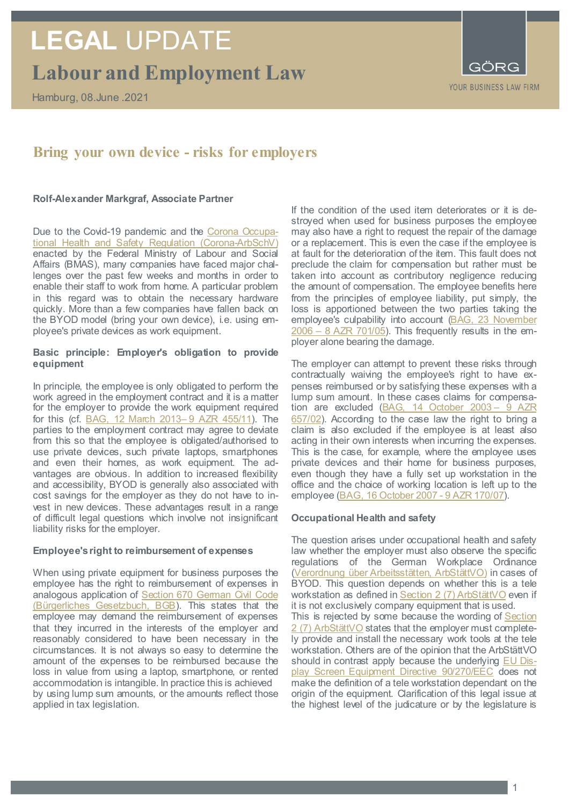## **Labour and Employment Law LEGAL** UPDATE

Hamburg, 08.June .2021



### **Bring your own device - risks for employers**

#### **Rolf-Alexander Markgraf, Associate Partner**

Due to the Covid-19 pandemic and the [Corona Occupa](http://www.gesetze-im-internet.de/corona-arbschv/)[tional Health and Safety Regulation \(Corona-ArbSchV\)](http://www.gesetze-im-internet.de/corona-arbschv/) enacted by the Federal Ministry of Labour and Social Affairs (BMAS), many companies have faced major challenges over the past few weeks and months in order to enable their staff to work from home. A particular problem in this regard was to obtain the necessary hardware quickly. More than a few companies have fallen back on the BYOD model (bring your own device), i.e. using employee's private devices as work equipment.

#### **Basic principle: Employer's obligation to provide equipment**

In principle, the employee is only obligated to perform the work agreed in the employment contract and it is a matter for the employer to provide the work equipment required for this (cf. [BAG, 12 March 2013–](http://juris.bundesarbeitsgericht.de/cgi-bin/rechtsprechung/document.py?Gericht=bag&Art=pm&Datum=2021&nr=16747&linked=urt) 9 AZR 455/11). The parties to the employment contract may agree to deviate from this so that the employee is obligated/authorised to use private devices, such private laptops, smartphones and even their homes, as work equipment. The advantages are obvious. In addition to increased flexibility and accessibility, BYOD is generally also associated with cost savings for the employer as they do not have to invest in new devices. These advantages result in a range of difficult legal questions which involve not insignificant liability risks for the employer.

#### **Employee's right to reimbursement of expenses**

When using private equipment for business purposes the employee has the right to reimbursement of expenses in analogous application of Section 670 German Civil Code (Bürgerliches Gesetzbuch, BGB). This states that the employee may demand the reimbursement of expenses that they incurred in the interests of the employer and reasonably considered to have been necessary in the circumstances. It is not always so easy to determine the amount of the expenses to be reimbursed because the loss in value from using a laptop, smartphone, or rented accommodation is intangible. In practice this is achieved by using lump sum amounts, or the amounts reflect those applied in tax legislation.

If the condition of the used item deteriorates or it is destroyed when used for business purposes the employee may also have a right to request the repair of the damage or a replacement. This is even the case if the employee is at fault for the deterioration of the item. This fault does not preclude the claim for compensation but rather must be taken into account as contributory negligence reducing the amount of compensation. The employee benefits here from the principles of employee liability, put simply, the loss is apportioned between the two parties taking the employee's culpability into account [\(BAG, 23 November](https://lexetius.com/2006,3952)   $2006 - 8$  AZR 701/05). This frequently results in the employer alone bearing the damage.

The employer can attempt to prevent these risks through contractually waiving the employee's right to have expenses reimbursed or by satisfying these expenses with a lump sum amount. In these cases claims for compensa-tion are excluded [\(BAG, 14 October 2003](https://lexetius.com/2003,3594) – 9 AZR [657/02\)](https://lexetius.com/2003,3594). According to the case law the right to bring a claim is also excluded if the employee is at least also acting in their own interests when incurring the expenses. This is the case, for example, where the employee uses private devices and their home for business purposes, even though they have a fully set up workstation in the office and the choice of working location is left up to the employee [\(BAG, 16 October 2007](https://openjur.de/u/172320.html) - 9 AZR 170/07).

#### **Occupational Health and safety**

The question arises under occupational health and safety law whether the employer must also observe the specific regulations of the German Workplace Ordinance [\(Verordnung über Arbeitsstätten, ArbStättVO\)](https://www.gesetze-im-internet.de/arbst_ttv_2004/) in cases of BYOD. This question depends on whether this is a tele workstation as defined i[n Section 2 \(7\) ArbStättVO](https://www.gesetze-im-internet.de/arbst_ttv_2004/__2.html) even if it is not exclusively company equipment that is used. This is rejected by some because the wording of **Section** [2 \(7\) ArbStättVO](https://www.gesetze-im-internet.de/arbst_ttv_2004/__2.html) states that the employer must completely provide and install the necessary work tools at the tele workstation. Others are of the opinion that the ArbStättVO should in contrast apply because the underlying [EU Dis](https://eur-lex.europa.eu/legal-content/DE/TXT/PDF/?uri=CELEX:31990L0270&from=DE)[play Screen Equipment Directive 90/270/EEC](https://eur-lex.europa.eu/legal-content/DE/TXT/PDF/?uri=CELEX:31990L0270&from=DE) does not make the definition of a tele workstation dependant on the origin of the equipment. Clarification of this legal issue at the highest level of the judicature or by the legislature is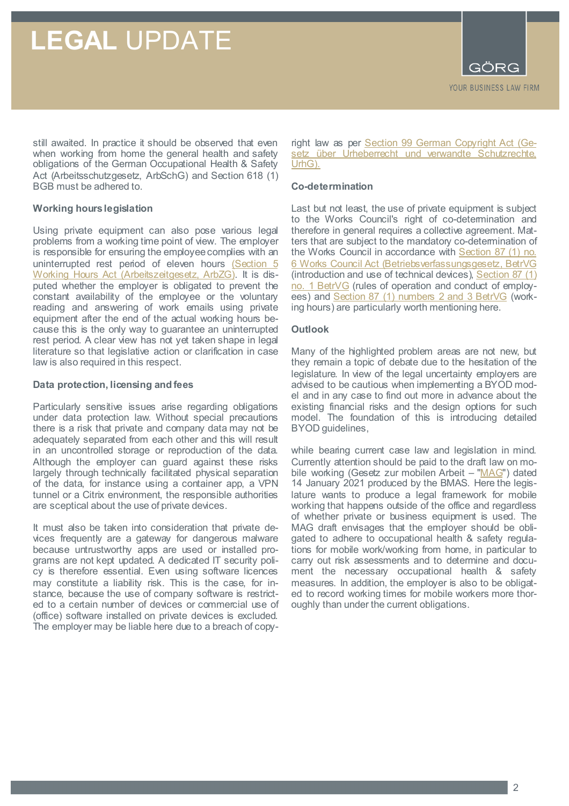### **LEGAL** UPDATE

still awaited. In practice it should be observed that even when working from home the general health and safety obligations of the German Occupational Health & Safety Act (Arbeitsschutzgesetz, ArbSchG) and Section 618 (1) BGB must be adhered to.

#### **Working hours legislation**

Using private equipment can also pose various legal problems from a working time point of view. The employer is responsible for ensuring the employee complies with an uninterrupted rest period of eleven hours (Section 5 [Working Hours Act \(Arbeitszeitgesetz, ArbZG\).](https://www.gesetze-im-internet.de/arbzg/__5.html) It is disputed whether the employer is obligated to prevent the constant availability of the employee or the voluntary reading and answering of work emails using private equipment after the end of the actual working hours because this is the only way to guarantee an uninterrupted rest period. A clear view has not yet taken shape in legal literature so that legislative action or clarification in case law is also required in this respect.

#### **Data protection, licensing and fees**

Particularly sensitive issues arise regarding obligations under data protection law. Without special precautions there is a risk that private and company data may not be adequately separated from each other and this will result in an uncontrolled storage or reproduction of the data. Although the employer can guard against these risks largely through technically facilitated physical separation of the data, for instance using a container app, a VPN tunnel or a Citrix environment, the responsible authorities are sceptical about the use of private devices.

It must also be taken into consideration that private devices frequently are a gateway for dangerous malware because untrustworthy apps are used or installed programs are not kept updated. A dedicated IT security policy is therefore essential. Even using software licences may constitute a liability risk. This is the case, for instance, because the use of company software is restricted to a certain number of devices or commercial use of (office) software installed on private devices is excluded. The employer may be liable here due to a breach of copy-

right law as per [Section 99 German Copyright Act \(Ge](http://www.gesetze-im-internet.de/urhg/__99.html)[setz über Urheberrecht und verwandte Schutzrechte,](http://www.gesetze-im-internet.de/urhg/__99.html)  [UrhG\).](http://www.gesetze-im-internet.de/urhg/__99.html)

#### **Co-determination**

Last but not least, the use of private equipment is subject to the Works Council's right of co-determination and therefore in general requires a collective agreement. Matters that are subject to the mandatory co-determination of the Works Council in accordance with Section 87 (1) no. [6 Works Council Act \(Betriebsverfassungsgesetz, BetrVG](https://www.gesetze-im-internet.de/betrvg/__87.html) (introduction and use of technical devices), [Section 87 \(1\)](https://www.gesetze-im-internet.de/betrvg/__87.html)  [no. 1 BetrVG](https://www.gesetze-im-internet.de/betrvg/__87.html) (rules of operation and conduct of employees) and [Section 87 \(1\) numbers 2 and 3 BetrVG](https://www.gesetze-im-internet.de/betrvg/__87.html) (working hours) are particularly worth mentioning here.

#### **Outlook**

Many of the highlighted problem areas are not new, but they remain a topic of debate due to the hesitation of the legislature. In view of the legal uncertainty employers are advised to be cautious when implementing a BYOD model and in any case to find out more in advance about the existing financial risks and the design options for such model. The foundation of this is introducing detailed BYOD guidelines,

while bearing current case law and legislation in mind. Currently attention should be paid to the draft law on mo-bile working (Gesetz zur mobilen Arbeit - ["MAG"](https://www.bmas.de/SharedDocs/Downloads/DE/Gesetze/Referentenentwuerfe/ref-mobile-arbeit-gesetz.pdf?__blob=publicationFile&v=1)) dated 14 January 2021 produced by the BMAS. Here the legislature wants to produce a legal framework for mobile working that happens outside of the office and regardless of whether private or business equipment is used. The MAG draft envisages that the employer should be obligated to adhere to occupational health & safety regulations for mobile work/working from home, in particular to carry out risk assessments and to determine and document the necessary occupational health & safety measures. In addition, the employer is also to be obligated to record working times for mobile workers more thoroughly than under the current obligations.